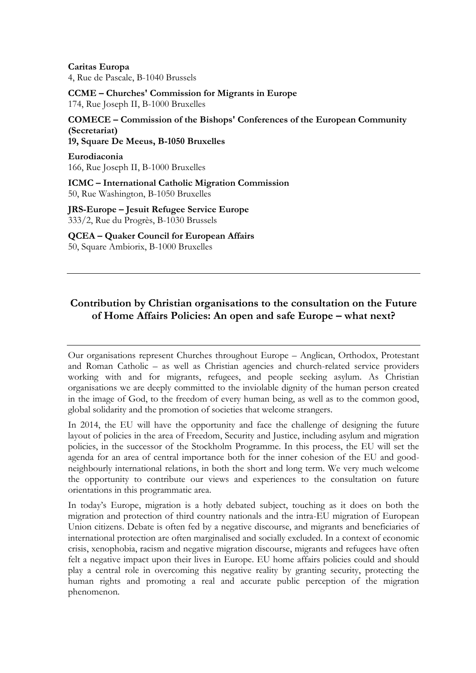**Caritas Europa** 4, Rue de Pascale, B-1040 Brussels

**CCME – Churches' Commission for Migrants in Europe** 174, Rue Joseph II, B-1000 Bruxelles

**COMECE – Commission of the Bishops' Conferences of the European Community (Secretariat) 19, Square De Meeus, B-1050 Bruxelles**

**Eurodiaconia** 166, Rue Joseph II, B-1000 Bruxelles

**ICMC – International Catholic Migration Commission** 50, Rue Washington, B-1050 Bruxelles

**JRS-Europe – Jesuit Refugee Service Europe** 333/2, Rue du Progrès, B-1030 Brussels

**QCEA – Quaker Council for European Affairs** 50, Square Ambiorix, B-1000 Bruxelles

# **Contribution by Christian organisations to the consultation on the Future of Home Affairs Policies: An open and safe Europe – what next?**

Our organisations represent Churches throughout Europe – Anglican, Orthodox, Protestant and Roman Catholic – as well as Christian agencies and church-related service providers working with and for migrants, refugees, and people seeking asylum. As Christian organisations we are deeply committed to the inviolable dignity of the human person created in the image of God, to the freedom of every human being, as well as to the common good, global solidarity and the promotion of societies that welcome strangers.

In 2014, the EU will have the opportunity and face the challenge of designing the future layout of policies in the area of Freedom, Security and Justice, including asylum and migration policies, in the successor of the Stockholm Programme. In this process, the EU will set the agenda for an area of central importance both for the inner cohesion of the EU and goodneighbourly international relations, in both the short and long term. We very much welcome the opportunity to contribute our views and experiences to the consultation on future orientations in this programmatic area.

In today's Europe, migration is a hotly debated subject, touching as it does on both the migration and protection of third country nationals and the intra-EU migration of European Union citizens. Debate is often fed by a negative discourse, and migrants and beneficiaries of international protection are often marginalised and socially excluded. In a context of economic crisis, xenophobia, racism and negative migration discourse, migrants and refugees have often felt a negative impact upon their lives in Europe. EU home affairs policies could and should play a central role in overcoming this negative reality by granting security, protecting the human rights and promoting a real and accurate public perception of the migration phenomenon.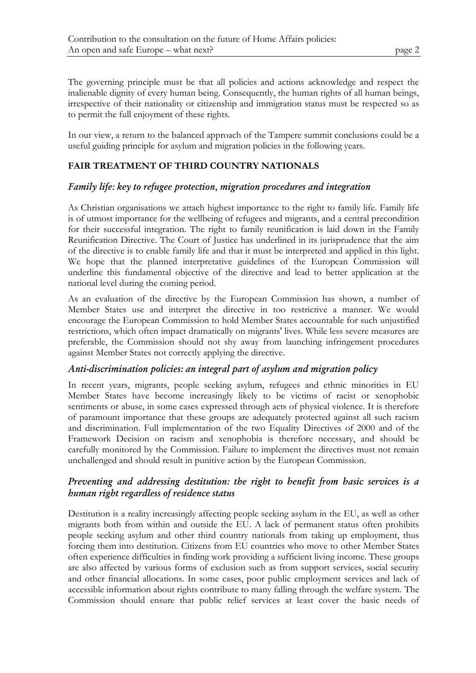The governing principle must be that all policies and actions acknowledge and respect the inalienable dignity of every human being. Consequently, the human rights of all human beings, irrespective of their nationality or citizenship and immigration status must be respected so as to permit the full enjoyment of these rights.

In our view, a return to the balanced approach of the Tampere summit conclusions could be a useful guiding principle for asylum and migration policies in the following years.

### **FAIR TREATMENT OF THIRD COUNTRY NATIONALS**

### *Family life: key to refugee protection, migration procedures and integration*

As Christian organisations we attach highest importance to the right to family life. Family life is of utmost importance for the wellbeing of refugees and migrants, and a central precondition for their successful integration. The right to family reunification is laid down in the Family Reunification Directive. The Court of Justice has underlined in its jurisprudence that the aim of the directive is to enable family life and that it must be interpreted and applied in this light. We hope that the planned interpretative guidelines of the European Commission will underline this fundamental objective of the directive and lead to better application at the national level during the coming period.

As an evaluation of the directive by the European Commission has shown, a number of Member States use and interpret the directive in too restrictive a manner. We would encourage the European Commission to hold Member States accountable for such unjustified restrictions, which often impact dramatically on migrants' lives. While less severe measures are preferable, the Commission should not shy away from launching infringement procedures against Member States not correctly applying the directive.

### *Anti-discrimination policies: an integral part of asylum and migration policy*

In recent years, migrants, people seeking asylum, refugees and ethnic minorities in EU Member States have become increasingly likely to be victims of racist or xenophobic sentiments or abuse, in some cases expressed through acts of physical violence. It is therefore of paramount importance that these groups are adequately protected against all such racism and discrimination. Full implementation of the two Equality Directives of 2000 and of the Framework Decision on racism and xenophobia is therefore necessary, and should be carefully monitored by the Commission. Failure to implement the directives must not remain unchallenged and should result in punitive action by the European Commission.

# *Preventing and addressing destitution: the right to benefit from basic services is a human right regardless of residence status*

Destitution is a reality increasingly affecting people seeking asylum in the EU, as well as other migrants both from within and outside the EU. A lack of permanent status often prohibits people seeking asylum and other third country nationals from taking up employment, thus forcing them into destitution. Citizens from EU countries who move to other Member States often experience difficulties in finding work providing a sufficient living income. These groups are also affected by various forms of exclusion such as from support services, social security and other financial allocations. In some cases, poor public employment services and lack of accessible information about rights contribute to many falling through the welfare system. The Commission should ensure that public relief services at least cover the basic needs of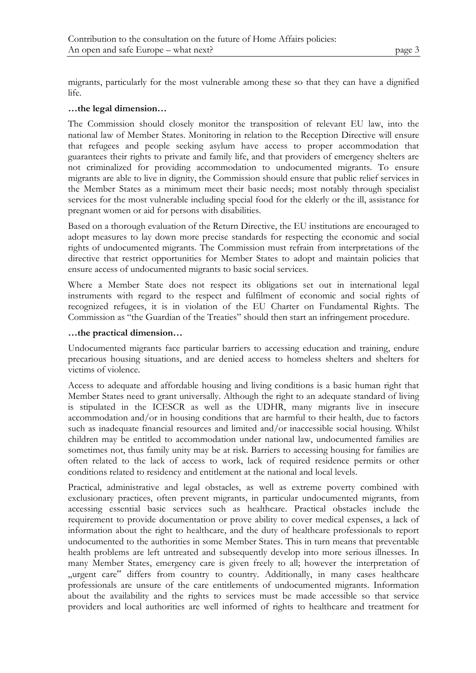migrants, particularly for the most vulnerable among these so that they can have a dignified life.

#### **…the legal dimension…**

The Commission should closely monitor the transposition of relevant EU law, into the national law of Member States. Monitoring in relation to the Reception Directive will ensure that refugees and people seeking asylum have access to proper accommodation that guarantees their rights to private and family life, and that providers of emergency shelters are not criminalized for providing accommodation to undocumented migrants. To ensure migrants are able to live in dignity, the Commission should ensure that public relief services in the Member States as a minimum meet their basic needs; most notably through specialist services for the most vulnerable including special food for the elderly or the ill, assistance for pregnant women or aid for persons with disabilities.

Based on a thorough evaluation of the Return Directive, the EU institutions are encouraged to adopt measures to lay down more precise standards for respecting the economic and social rights of undocumented migrants. The Commission must refrain from interpretations of the directive that restrict opportunities for Member States to adopt and maintain policies that ensure access of undocumented migrants to basic social services.

Where a Member State does not respect its obligations set out in international legal instruments with regard to the respect and fulfilment of economic and social rights of recognized refugees, it is in violation of the EU Charter on Fundamental Rights. The Commission as "the Guardian of the Treaties" should then start an infringement procedure.

#### **…the practical dimension…**

Undocumented migrants face particular barriers to accessing education and training, endure precarious housing situations, and are denied access to homeless shelters and shelters for victims of violence.

Access to adequate and affordable housing and living conditions is a basic human right that Member States need to grant universally. Although the right to an adequate standard of living is stipulated in the ICESCR as well as the UDHR, many migrants live in insecure accommodation and/or in housing conditions that are harmful to their health, due to factors such as inadequate financial resources and limited and/or inaccessible social housing. Whilst children may be entitled to accommodation under national law, undocumented families are sometimes not, thus family unity may be at risk. Barriers to accessing housing for families are often related to the lack of access to work, lack of required residence permits or other conditions related to residency and entitlement at the national and local levels.

Practical, administrative and legal obstacles, as well as extreme poverty combined with exclusionary practices, often prevent migrants, in particular undocumented migrants, from accessing essential basic services such as healthcare. Practical obstacles include the requirement to provide documentation or prove ability to cover medical expenses, a lack of information about the right to healthcare, and the duty of healthcare professionals to report undocumented to the authorities in some Member States. This in turn means that preventable health problems are left untreated and subsequently develop into more serious illnesses. In many Member States, emergency care is given freely to all; however the interpretation of "urgent care" differs from country to country. Additionally, in many cases healthcare professionals are unsure of the care entitlements of undocumented migrants. Information about the availability and the rights to services must be made accessible so that service providers and local authorities are well informed of rights to healthcare and treatment for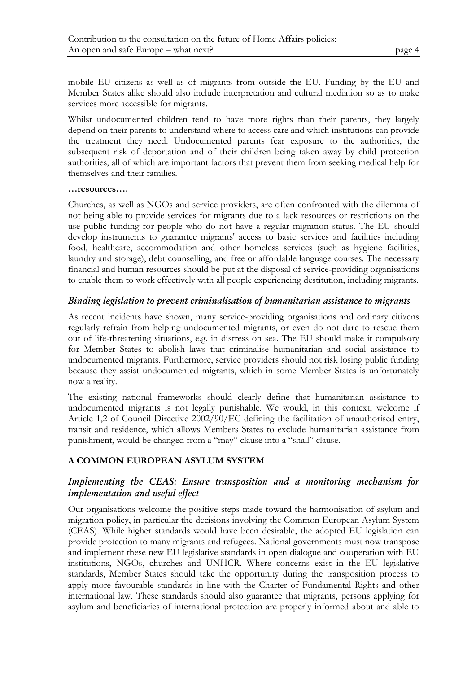mobile EU citizens as well as of migrants from outside the EU. Funding by the EU and Member States alike should also include interpretation and cultural mediation so as to make services more accessible for migrants.

Whilst undocumented children tend to have more rights than their parents, they largely depend on their parents to understand where to access care and which institutions can provide the treatment they need. Undocumented parents fear exposure to the authorities, the subsequent risk of deportation and of their children being taken away by child protection authorities, all of which are important factors that prevent them from seeking medical help for themselves and their families.

#### **…resources….**

Churches, as well as NGOs and service providers, are often confronted with the dilemma of not being able to provide services for migrants due to a lack resources or restrictions on the use public funding for people who do not have a regular migration status. The EU should develop instruments to guarantee migrants' access to basic services and facilities including food, healthcare, accommodation and other homeless services (such as hygiene facilities, laundry and storage), debt counselling, and free or affordable language courses. The necessary financial and human resources should be put at the disposal of service-providing organisations to enable them to work effectively with all people experiencing destitution, including migrants.

### *Binding legislation to prevent criminalisation of humanitarian assistance to migrants*

As recent incidents have shown, many service-providing organisations and ordinary citizens regularly refrain from helping undocumented migrants, or even do not dare to rescue them out of life-threatening situations, e.g. in distress on sea. The EU should make it compulsory for Member States to abolish laws that criminalise humanitarian and social assistance to undocumented migrants. Furthermore, service providers should not risk losing public funding because they assist undocumented migrants, which in some Member States is unfortunately now a reality.

The existing national frameworks should clearly define that humanitarian assistance to undocumented migrants is not legally punishable. We would, in this context, welcome if Article 1,2 of Council Directive 2002/90/EC defining the facilitation of unauthorised entry, transit and residence, which allows Members States to exclude humanitarian assistance from punishment, would be changed from a "may" clause into a "shall" clause.

### **A COMMON EUROPEAN ASYLUM SYSTEM**

# *Implementing the CEAS: Ensure transposition and a monitoring mechanism for implementation and useful effect*

Our organisations welcome the positive steps made toward the harmonisation of asylum and migration policy, in particular the decisions involving the Common European Asylum System (CEAS). While higher standards would have been desirable, the adopted EU legislation can provide protection to many migrants and refugees. National governments must now transpose and implement these new EU legislative standards in open dialogue and cooperation with EU institutions, NGOs, churches and UNHCR. Where concerns exist in the EU legislative standards, Member States should take the opportunity during the transposition process to apply more favourable standards in line with the Charter of Fundamental Rights and other international law. These standards should also guarantee that migrants, persons applying for asylum and beneficiaries of international protection are properly informed about and able to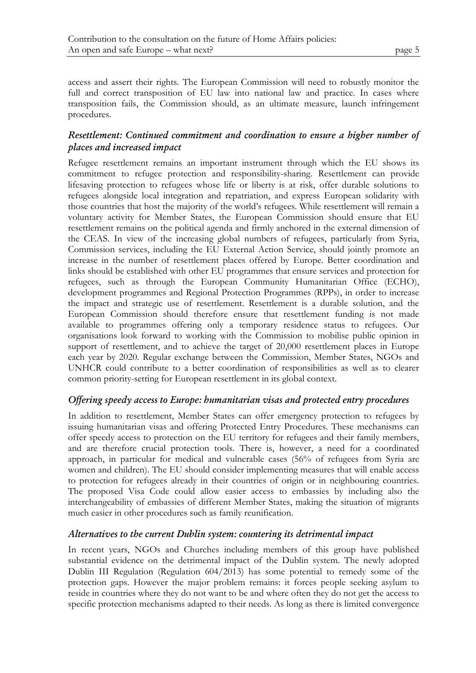access and assert their rights. The European Commission will need to robustly monitor the full and correct transposition of EU law into national law and practice. In cases where transposition fails, the Commission should, as an ultimate measure, launch infringement procedures.

# *Resettlement: Continued commitment and coordination to ensure a higher number of places and increased impact*

Refugee resettlement remains an important instrument through which the EU shows its commitment to refugee protection and responsibility-sharing. Resettlement can provide lifesaving protection to refugees whose life or liberty is at risk, offer durable solutions to refugees alongside local integration and repatriation, and express European solidarity with those countries that host the majority of the world's refugees. While resettlement will remain a voluntary activity for Member States, the European Commission should ensure that EU resettlement remains on the political agenda and firmly anchored in the external dimension of the CEAS. In view of the increasing global numbers of refugees, particularly from Syria, Commission services, including the EU External Action Service, should jointly promote an increase in the number of resettlement places offered by Europe. Better coordination and links should be established with other EU programmes that ensure services and protection for refugees, such as through the European Community Humanitarian Office (ECHO), development programmes and Regional Protection Programmes (RPPs), in order to increase the impact and strategic use of resettlement. Resettlement is a durable solution, and the European Commission should therefore ensure that resettlement funding is not made available to programmes offering only a temporary residence status to refugees. Our organisations look forward to working with the Commission to mobilise public opinion in support of resettlement, and to achieve the target of 20,000 resettlement places in Europe each year by 2020. Regular exchange between the Commission, Member States, NGOs and UNHCR could contribute to a better coordination of responsibilities as well as to clearer common priority-setting for European resettlement in its global context.

# *Offering speedy access to Europe: humanitarian visas and protected entry procedures*

In addition to resettlement, Member States can offer emergency protection to refugees by issuing humanitarian visas and offering Protected Entry Procedures. These mechanisms can offer speedy access to protection on the EU territory for refugees and their family members, and are therefore crucial protection tools. There is, however, a need for a coordinated approach, in particular for medical and vulnerable cases (56% of refugees from Syria are women and children). The EU should consider implementing measures that will enable access to protection for refugees already in their countries of origin or in neighbouring countries. The proposed Visa Code could allow easier access to embassies by including also the interchangeability of embassies of different Member States, making the situation of migrants much easier in other procedures such as family reunification.

# *Alternatives to the current Dublin system: countering its detrimental impact*

In recent years, NGOs and Churches including members of this group have published substantial evidence on the detrimental impact of the Dublin system. The newly adopted Dublin III Regulation (Regulation 604/2013) has some potential to remedy some of the protection gaps. However the major problem remains: it forces people seeking asylum to reside in countries where they do not want to be and where often they do not get the access to specific protection mechanisms adapted to their needs. As long as there is limited convergence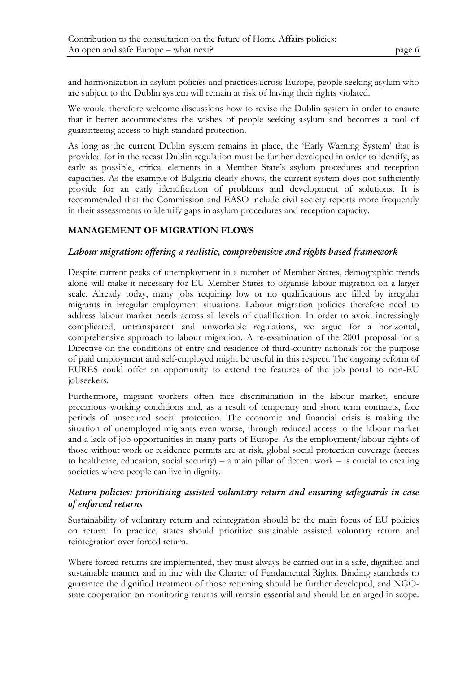and harmonization in asylum policies and practices across Europe, people seeking asylum who are subject to the Dublin system will remain at risk of having their rights violated.

We would therefore welcome discussions how to revise the Dublin system in order to ensure that it better accommodates the wishes of people seeking asylum and becomes a tool of guaranteeing access to high standard protection.

As long as the current Dublin system remains in place, the 'Early Warning System' that is provided for in the recast Dublin regulation must be further developed in order to identify, as early as possible, critical elements in a Member State's asylum procedures and reception capacities. As the example of Bulgaria clearly shows, the current system does not sufficiently provide for an early identification of problems and development of solutions. It is recommended that the Commission and EASO include civil society reports more frequently in their assessments to identify gaps in asylum procedures and reception capacity.

# **MANAGEMENT OF MIGRATION FLOWS**

### *Labour migration: offering a realistic, comprehensive and rights based framework*

Despite current peaks of unemployment in a number of Member States, demographic trends alone will make it necessary for EU Member States to organise labour migration on a larger scale. Already today, many jobs requiring low or no qualifications are filled by irregular migrants in irregular employment situations. Labour migration policies therefore need to address labour market needs across all levels of qualification. In order to avoid increasingly complicated, untransparent and unworkable regulations, we argue for a horizontal, comprehensive approach to labour migration. A re-examination of the 2001 proposal for a Directive on the conditions of entry and residence of third-country nationals for the purpose of paid employment and self-employed might be useful in this respect. The ongoing reform of EURES could offer an opportunity to extend the features of the job portal to non-EU jobseekers.

Furthermore, migrant workers often face discrimination in the labour market, endure precarious working conditions and, as a result of temporary and short term contracts, face periods of unsecured social protection. The economic and financial crisis is making the situation of unemployed migrants even worse, through reduced access to the labour market and a lack of job opportunities in many parts of Europe. As the employment/labour rights of those without work or residence permits are at risk, global social protection coverage (access to healthcare, education, social security) – a main pillar of decent work – is crucial to creating societies where people can live in dignity.

# *Return policies: prioritising assisted voluntary return and ensuring safeguards in case of enforced returns*

Sustainability of voluntary return and reintegration should be the main focus of EU policies on return. In practice, states should prioritize sustainable assisted voluntary return and reintegration over forced return.

Where forced returns are implemented, they must always be carried out in a safe, dignified and sustainable manner and in line with the Charter of Fundamental Rights. Binding standards to guarantee the dignified treatment of those returning should be further developed, and NGOstate cooperation on monitoring returns will remain essential and should be enlarged in scope.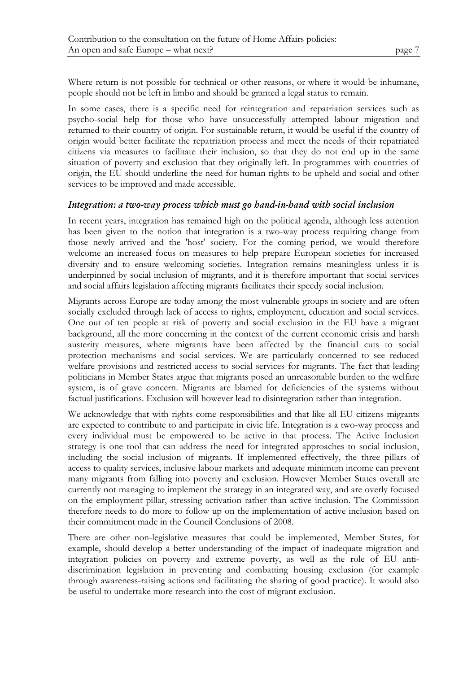Where return is not possible for technical or other reasons, or where it would be inhumane, people should not be left in limbo and should be granted a legal status to remain.

In some cases, there is a specific need for reintegration and repatriation services such as psycho-social help for those who have unsuccessfully attempted labour migration and returned to their country of origin. For sustainable return, it would be useful if the country of origin would better facilitate the repatriation process and meet the needs of their repatriated citizens via measures to facilitate their inclusion, so that they do not end up in the same situation of poverty and exclusion that they originally left. In programmes with countries of origin, the EU should underline the need for human rights to be upheld and social and other services to be improved and made accessible.

### *Integration: a two-way process which must go hand-in-hand with social inclusion*

In recent years, integration has remained high on the political agenda, although less attention has been given to the notion that integration is a two-way process requiring change from those newly arrived and the 'host' society. For the coming period, we would therefore welcome an increased focus on measures to help prepare European societies for increased diversity and to ensure welcoming societies. Integration remains meaningless unless it is underpinned by social inclusion of migrants, and it is therefore important that social services and social affairs legislation affecting migrants facilitates their speedy social inclusion.

Migrants across Europe are today among the most vulnerable groups in society and are often socially excluded through lack of access to rights, employment, education and social services. One out of ten people at risk of poverty and social exclusion in the EU have a migrant background, all the more concerning in the context of the current economic crisis and harsh austerity measures, where migrants have been affected by the financial cuts to social protection mechanisms and social services. We are particularly concerned to see reduced welfare provisions and restricted access to social services for migrants. The fact that leading politicians in Member States argue that migrants posed an unreasonable burden to the welfare system, is of grave concern. Migrants are blamed for deficiencies of the systems without factual justifications. Exclusion will however lead to disintegration rather than integration.

We acknowledge that with rights come responsibilities and that like all EU citizens migrants are expected to contribute to and participate in civic life. Integration is a two-way process and every individual must be empowered to be active in that process. The Active Inclusion strategy is one tool that can address the need for integrated approaches to social inclusion, including the social inclusion of migrants. If implemented effectively, the three pillars of access to quality services, inclusive labour markets and adequate minimum income can prevent many migrants from falling into poverty and exclusion. However Member States overall are currently not managing to implement the strategy in an integrated way, and are overly focused on the employment pillar, stressing activation rather than active inclusion. The Commission therefore needs to do more to follow up on the implementation of active inclusion based on their commitment made in the Council Conclusions of 2008.

There are other non-legislative measures that could be implemented, Member States, for example, should develop a better understanding of the impact of inadequate migration and integration policies on poverty and extreme poverty, as well as the role of EU antidiscrimination legislation in preventing and combatting housing exclusion (for example through awareness-raising actions and facilitating the sharing of good practice). It would also be useful to undertake more research into the cost of migrant exclusion.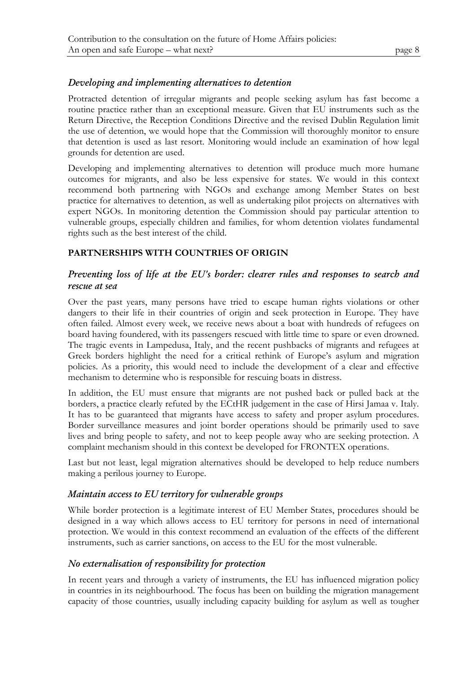# *Developing and implementing alternatives to detention*

Protracted detention of irregular migrants and people seeking asylum has fast become a routine practice rather than an exceptional measure. Given that EU instruments such as the Return Directive, the Reception Conditions Directive and the revised Dublin Regulation limit the use of detention, we would hope that the Commission will thoroughly monitor to ensure that detention is used as last resort. Monitoring would include an examination of how legal grounds for detention are used.

Developing and implementing alternatives to detention will produce much more humane outcomes for migrants, and also be less expensive for states. We would in this context recommend both partnering with NGOs and exchange among Member States on best practice for alternatives to detention, as well as undertaking pilot projects on alternatives with expert NGOs. In monitoring detention the Commission should pay particular attention to vulnerable groups, especially children and families, for whom detention violates fundamental rights such as the best interest of the child.

# **PARTNERSHIPS WITH COUNTRIES OF ORIGIN**

# *Preventing loss of life at the EU's border: clearer rules and responses to search and rescue at sea*

Over the past years, many persons have tried to escape human rights violations or other dangers to their life in their countries of origin and seek protection in Europe. They have often failed. Almost every week, we receive news about a boat with hundreds of refugees on board having foundered, with its passengers rescued with little time to spare or even drowned. The tragic events in Lampedusa, Italy, and the recent pushbacks of migrants and refugees at Greek borders highlight the need for a critical rethink of Europe's asylum and migration policies. As a priority, this would need to include the development of a clear and effective mechanism to determine who is responsible for rescuing boats in distress.

In addition, the EU must ensure that migrants are not pushed back or pulled back at the borders, a practice clearly refuted by the ECtHR judgement in the case of Hirsi Jamaa v. Italy. It has to be guaranteed that migrants have access to safety and proper asylum procedures. Border surveillance measures and joint border operations should be primarily used to save lives and bring people to safety, and not to keep people away who are seeking protection. A complaint mechanism should in this context be developed for FRONTEX operations.

Last but not least, legal migration alternatives should be developed to help reduce numbers making a perilous journey to Europe.

# *Maintain access to EU territory for vulnerable groups*

While border protection is a legitimate interest of EU Member States, procedures should be designed in a way which allows access to EU territory for persons in need of international protection. We would in this context recommend an evaluation of the effects of the different instruments, such as carrier sanctions, on access to the EU for the most vulnerable.

# *No externalisation of responsibility for protection*

In recent years and through a variety of instruments, the EU has influenced migration policy in countries in its neighbourhood. The focus has been on building the migration management capacity of those countries, usually including capacity building for asylum as well as tougher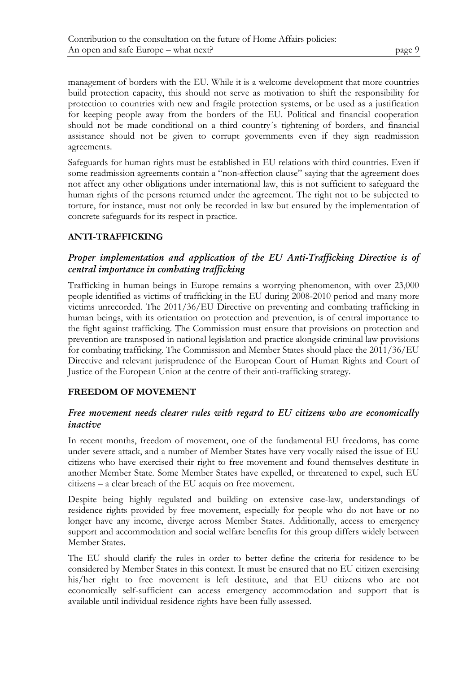management of borders with the EU. While it is a welcome development that more countries build protection capacity, this should not serve as motivation to shift the responsibility for protection to countries with new and fragile protection systems, or be used as a justification for keeping people away from the borders of the EU. Political and financial cooperation should not be made conditional on a third country´s tightening of borders, and financial assistance should not be given to corrupt governments even if they sign readmission agreements.

Safeguards for human rights must be established in EU relations with third countries. Even if some readmission agreements contain a "non-affection clause" saying that the agreement does not affect any other obligations under international law, this is not sufficient to safeguard the human rights of the persons returned under the agreement. The right not to be subjected to torture, for instance, must not only be recorded in law but ensured by the implementation of concrete safeguards for its respect in practice.

### **ANTI-TRAFFICKING**

# *Proper implementation and application of the EU Anti-Trafficking Directive is of central importance in combating trafficking*

Trafficking in human beings in Europe remains a worrying phenomenon, with over 23,000 people identified as victims of trafficking in the EU during 2008-2010 period and many more victims unrecorded. The 2011/36/EU Directive on preventing and combating trafficking in human beings, with its orientation on protection and prevention, is of central importance to the fight against trafficking. The Commission must ensure that provisions on protection and prevention are transposed in national legislation and practice alongside criminal law provisions for combating trafficking. The Commission and Member States should place the 2011/36/EU Directive and relevant jurisprudence of the European Court of Human Rights and Court of Justice of the European Union at the centre of their anti-trafficking strategy.

### **FREEDOM OF MOVEMENT**

# *Free movement needs clearer rules with regard to EU citizens who are economically inactive*

In recent months, freedom of movement, one of the fundamental EU freedoms, has come under severe attack, and a number of Member States have very vocally raised the issue of EU citizens who have exercised their right to free movement and found themselves destitute in another Member State. Some Member States have expelled, or threatened to expel, such EU citizens – a clear breach of the EU acquis on free movement.

Despite being highly regulated and building on extensive case-law, understandings of residence rights provided by free movement, especially for people who do not have or no longer have any income, diverge across Member States. Additionally, access to emergency support and accommodation and social welfare benefits for this group differs widely between Member States.

The EU should clarify the rules in order to better define the criteria for residence to be considered by Member States in this context. It must be ensured that no EU citizen exercising his/her right to free movement is left destitute, and that EU citizens who are not economically self-sufficient can access emergency accommodation and support that is available until individual residence rights have been fully assessed.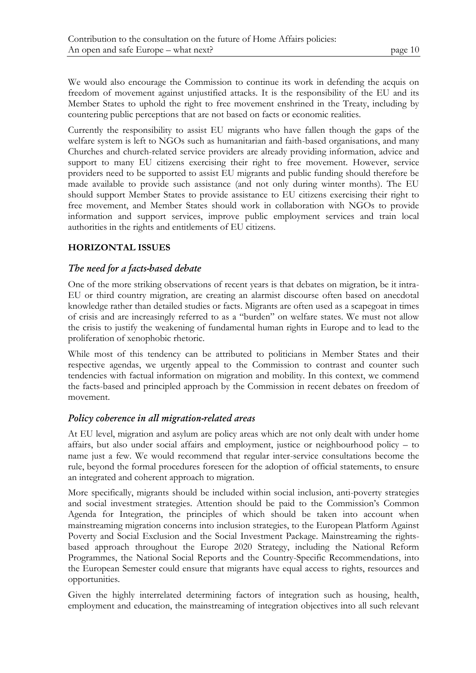We would also encourage the Commission to continue its work in defending the acquis on freedom of movement against unjustified attacks. It is the responsibility of the EU and its Member States to uphold the right to free movement enshrined in the Treaty, including by countering public perceptions that are not based on facts or economic realities.

Currently the responsibility to assist EU migrants who have fallen though the gaps of the welfare system is left to NGOs such as humanitarian and faith-based organisations, and many Churches and church-related service providers are already providing information, advice and support to many EU citizens exercising their right to free movement. However, service providers need to be supported to assist EU migrants and public funding should therefore be made available to provide such assistance (and not only during winter months). The EU should support Member States to provide assistance to EU citizens exercising their right to free movement, and Member States should work in collaboration with NGOs to provide information and support services, improve public employment services and train local authorities in the rights and entitlements of EU citizens.

# **HORIZONTAL ISSUES**

# *The need for a facts-based debate*

One of the more striking observations of recent years is that debates on migration, be it intra-EU or third country migration, are creating an alarmist discourse often based on anecdotal knowledge rather than detailed studies or facts. Migrants are often used as a scapegoat in times of crisis and are increasingly referred to as a "burden" on welfare states. We must not allow the crisis to justify the weakening of fundamental human rights in Europe and to lead to the proliferation of xenophobic rhetoric.

While most of this tendency can be attributed to politicians in Member States and their respective agendas, we urgently appeal to the Commission to contrast and counter such tendencies with factual information on migration and mobility. In this context, we commend the facts-based and principled approach by the Commission in recent debates on freedom of movement.

# *Policy coherence in all migration-related areas*

At EU level, migration and asylum are policy areas which are not only dealt with under home affairs, but also under social affairs and employment, justice or neighbourhood policy – to name just a few. We would recommend that regular inter-service consultations become the rule, beyond the formal procedures foreseen for the adoption of official statements, to ensure an integrated and coherent approach to migration.

More specifically, migrants should be included within social inclusion, anti-poverty strategies and social investment strategies. Attention should be paid to the Commission's Common Agenda for Integration, the principles of which should be taken into account when mainstreaming migration concerns into inclusion strategies, to the European Platform Against Poverty and Social Exclusion and the Social Investment Package. Mainstreaming the rightsbased approach throughout the Europe 2020 Strategy, including the National Reform Programmes, the National Social Reports and the Country-Specific Recommendations, into the European Semester could ensure that migrants have equal access to rights, resources and opportunities.

Given the highly interrelated determining factors of integration such as housing, health, employment and education, the mainstreaming of integration objectives into all such relevant